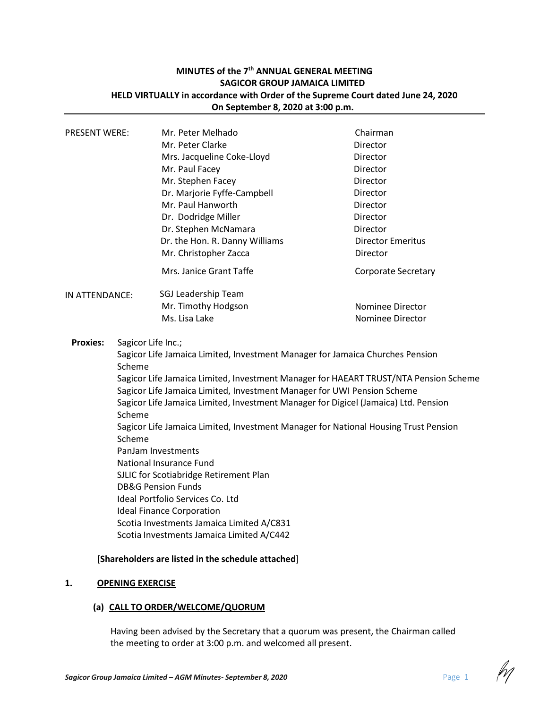# **MINUTES of the 7th ANNUAL GENERAL MEETING SAGICOR GROUP JAMAICA LIMITED HELD VIRTUALLY in accordance with Order of the Supreme Court dated June 24, 2020 On September 8, 2020 at 3:00 p.m.**

| <b>PRESENT WERE:</b> |                                                                                      | Mr. Peter Melhado              | Chairman                   |  |
|----------------------|--------------------------------------------------------------------------------------|--------------------------------|----------------------------|--|
|                      |                                                                                      | Mr. Peter Clarke               | Director                   |  |
|                      |                                                                                      | Mrs. Jacqueline Coke-Lloyd     | Director                   |  |
|                      |                                                                                      | Mr. Paul Facey                 | Director                   |  |
|                      |                                                                                      | Mr. Stephen Facey              | Director                   |  |
|                      |                                                                                      | Dr. Marjorie Fyffe-Campbell    | Director                   |  |
|                      |                                                                                      | Mr. Paul Hanworth              | Director                   |  |
|                      |                                                                                      | Dr. Dodridge Miller            | Director                   |  |
|                      |                                                                                      | Dr. Stephen McNamara           | Director                   |  |
|                      |                                                                                      | Dr. the Hon. R. Danny Williams | <b>Director Emeritus</b>   |  |
|                      |                                                                                      | Mr. Christopher Zacca          | Director                   |  |
|                      |                                                                                      | Mrs. Janice Grant Taffe        | <b>Corporate Secretary</b> |  |
| IN ATTENDANCE:       |                                                                                      | <b>SGJ Leadership Team</b>     |                            |  |
|                      |                                                                                      | Mr. Timothy Hodgson            | <b>Nominee Director</b>    |  |
|                      |                                                                                      | Ms. Lisa Lake                  | Nominee Director           |  |
| <b>Proxies:</b>      | Sagicor Life Inc.;                                                                   |                                |                            |  |
|                      | Sagicor Life Jamaica Limited, Investment Manager for Jamaica Churches Pension        |                                |                            |  |
|                      | Scheme                                                                               |                                |                            |  |
|                      | Sagicor Life Jamaica Limited, Investment Manager for HAEART TRUST/NTA Pension Scheme |                                |                            |  |
|                      | Sagicor Life Jamaica Limited, Investment Manager for UWI Pension Scheme              |                                |                            |  |
|                      | Sagicor Life Jamaica Limited, Investment Manager for Digicel (Jamaica) Ltd. Pension  |                                |                            |  |
|                      | Scheme                                                                               |                                |                            |  |
|                      | Sagicor Life Jamaica Limited, Investment Manager for National Housing Trust Pension  |                                |                            |  |
|                      | Scheme                                                                               |                                |                            |  |
|                      | PanJam Investments                                                                   |                                |                            |  |
|                      | National Insurance Fund                                                              |                                |                            |  |
|                      | SJLIC for Scotiabridge Retirement Plan                                               |                                |                            |  |
|                      | <b>DB&amp;G Pension Funds</b>                                                        |                                |                            |  |
|                      | Ideal Portfolio Services Co. Ltd                                                     |                                |                            |  |
|                      | <b>Ideal Finance Corporation</b>                                                     |                                |                            |  |
|                      | Scotia Investments Jamaica Limited A/C831                                            |                                |                            |  |
|                      | Scotia Investments Jamaica Limited A/C442                                            |                                |                            |  |

# [**Shareholders are listed in the schedule attached**]

# **1. OPENING EXERCISE**

# **(a) CALL TO ORDER/WELCOME/QUORUM**

Having been advised by the Secretary that a quorum was present, the Chairman called the meeting to order at 3:00 p.m. and welcomed all present.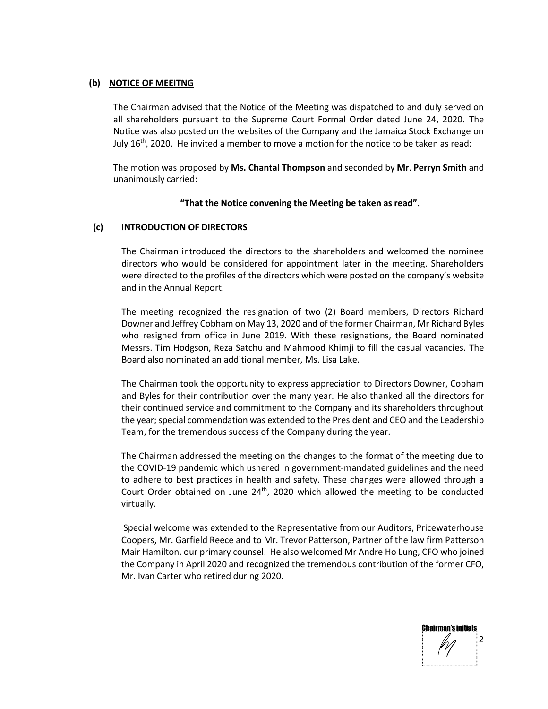#### **(b) NOTICE OF MEEITNG**

The Chairman advised that the Notice of the Meeting was dispatched to and duly served on all shareholders pursuant to the Supreme Court Formal Order dated June 24, 2020. The Notice was also posted on the websites of the Company and the Jamaica Stock Exchange on July 16<sup>th</sup>, 2020. He invited a member to move a motion for the notice to be taken as read:

The motion was proposed by **Ms. Chantal Thompson** and seconded by **Mr**. **Perryn Smith** and unanimously carried:

#### **"That the Notice convening the Meeting be taken asread".**

#### **(c) INTRODUCTION OF DIRECTORS**

The Chairman introduced the directors to the shareholders and welcomed the nominee directors who would be considered for appointment later in the meeting. Shareholders were directed to the profiles of the directors which were posted on the company's website and in the Annual Report.

The meeting recognized the resignation of two (2) Board members, Directors Richard Downer and Jeffrey Cobham on May 13, 2020 and of the former Chairman, Mr Richard Byles who resigned from office in June 2019. With these resignations, the Board nominated Messrs. Tim Hodgson, Reza Satchu and Mahmood Khimji to fill the casual vacancies. The Board also nominated an additional member, Ms. Lisa Lake.

The Chairman took the opportunity to express appreciation to Directors Downer, Cobham and Byles for their contribution over the many year. He also thanked all the directors for their continued service and commitment to the Company and its shareholders throughout the year; special commendation was extended to the President and CEO and the Leadership Team, for the tremendous success of the Company during the year.

The Chairman addressed the meeting on the changes to the format of the meeting due to the COVID-19 pandemic which ushered in government-mandated guidelines and the need to adhere to best practices in health and safety. These changes were allowed through a Court Order obtained on June  $24<sup>th</sup>$ , 2020 which allowed the meeting to be conducted virtually.

Special welcome was extended to the Representative from our Auditors, Pricewaterhouse Coopers, Mr. Garfield Reece and to Mr. Trevor Patterson, Partner of the law firm Patterson Mair Hamilton, our primary counsel. He also welcomed Mr Andre Ho Lung, CFO who joined the Company in April 2020 and recognized the tremendous contribution of the former CFO, Mr. Ivan Carter who retired during 2020.

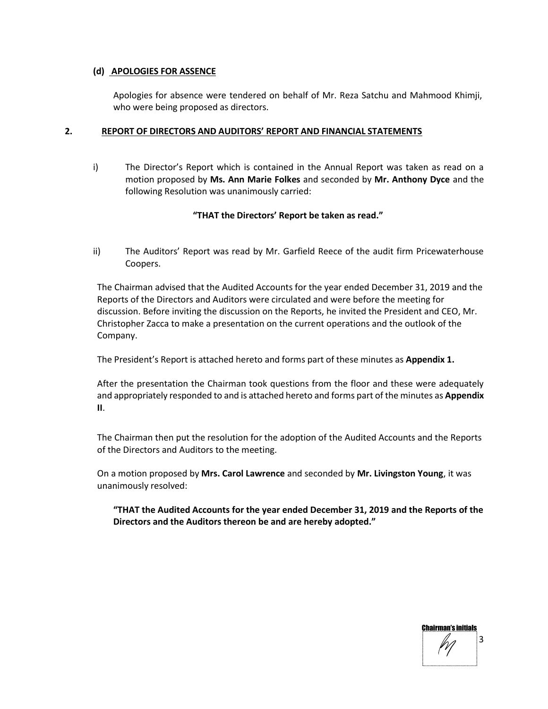# **(d) APOLOGIES FOR ASSENCE**

Apologies for absence were tendered on behalf of Mr. Reza Satchu and Mahmood Khimji, who were being proposed as directors.

# **2. REPORT OF DIRECTORS AND AUDITORS' REPORT AND FINANCIAL STATEMENTS**

i) The Director's Report which is contained in the Annual Report was taken as read on a motion proposed by **Ms. Ann Marie Folkes** and seconded by **Mr. Anthony Dyce** and the following Resolution was unanimously carried:

# **"THAT the Directors' Report be taken as read."**

ii) The Auditors' Report was read by Mr. Garfield Reece of the audit firm Pricewaterhouse Coopers.

The Chairman advised that the Audited Accounts for the year ended December 31, 2019 and the Reports of the Directors and Auditors were circulated and were before the meeting for discussion. Before inviting the discussion on the Reports, he invited the President and CEO, Mr. Christopher Zacca to make a presentation on the current operations and the outlook of the Company.

The President's Report is attached hereto and forms part of these minutes as **Appendix 1.**

After the presentation the Chairman took questions from the floor and these were adequately and appropriately responded to and is attached hereto and forms part of the minutes as **Appendix II**.

The Chairman then put the resolution for the adoption of the Audited Accounts and the Reports of the Directors and Auditors to the meeting.

On a motion proposed by **Mrs. Carol Lawrence** and seconded by **Mr. Livingston Young**, it was unanimously resolved:

**"THAT the Audited Accounts for the year ended December 31, 2019 and the Reports of the Directors and the Auditors thereon be and are hereby adopted."**

| man's initials<br>Chai |  |
|------------------------|--|
|                        |  |
|                        |  |
|                        |  |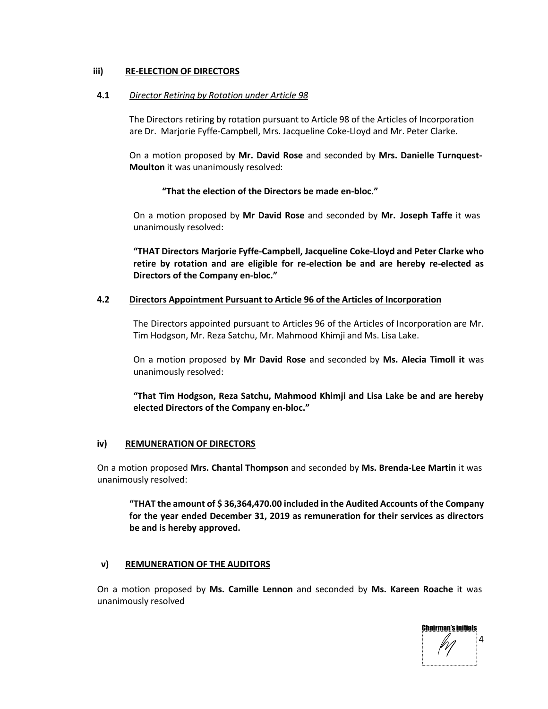#### **iii) RE-ELECTION OF DIRECTORS**

#### **4.1** *Director Retiring by Rotation under Article 98*

The Directors retiring by rotation pursuant to Article 98 of the Articles of Incorporation are Dr. Marjorie Fyffe-Campbell, Mrs. Jacqueline Coke-Lloyd and Mr. Peter Clarke.

On a motion proposed by **Mr. David Rose** and seconded by **Mrs. Danielle Turnquest-Moulton** it was unanimously resolved:

# **"That the election of the Directors be made en-bloc."**

On a motion proposed by **Mr David Rose** and seconded by **Mr. Joseph Taffe** it was unanimously resolved:

**"THAT Directors Marjorie Fyffe-Campbell, Jacqueline Coke-Lloyd and Peter Clarke who retire by rotation and are eligible for re-election be and are hereby re-elected as Directors of the Company en-bloc."**

#### **4.2 Directors Appointment Pursuant to Article 96 of the Articles of Incorporation**

The Directors appointed pursuant to Articles 96 of the Articles of Incorporation are Mr. Tim Hodgson, Mr. Reza Satchu, Mr. Mahmood Khimji and Ms. Lisa Lake.

On a motion proposed by **Mr David Rose** and seconded by **Ms. Alecia Timoll it** was unanimously resolved:

**"That Tim Hodgson, Reza Satchu, Mahmood Khimji and Lisa Lake be and are hereby elected Directors of the Company en-bloc."**

#### **iv) REMUNERATION OF DIRECTORS**

On a motion proposed **Mrs. Chantal Thompson** and seconded by **Ms. Brenda-Lee Martin** it was unanimously resolved:

**"THAT the amount of \$ 36,364,470.00 included in the Audited Accounts of the Company for the year ended December 31, 2019 as remuneration for their services as directors be and is hereby approved.**

# **v) REMUNERATION OF THE AUDITORS**

On a motion proposed by **Ms. Camille Lennon** and seconded by **Ms. Kareen Roache** it was unanimously resolved

> Chairman's initials 4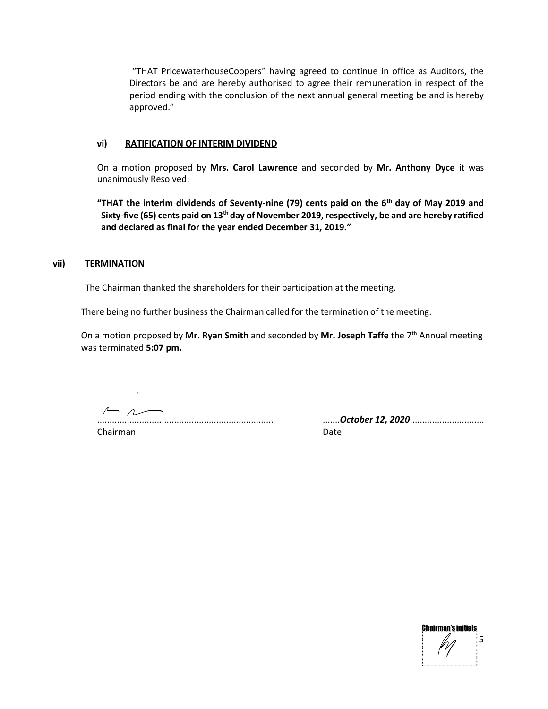"THAT PricewaterhouseCoopers" having agreed to continue in office as Auditors, the Directors be and are hereby authorised to agree their remuneration in respect of the period ending with the conclusion of the next annual general meeting be and is hereby approved."

#### **vi) RATIFICATION OF INTERIM DIVIDEND**

On a motion proposed by **Mrs. Carol Lawrence** and seconded by **Mr. Anthony Dyce** it was unanimously Resolved:

**"THAT the interim dividends of Seventy-nine (79) cents paid on the 6th day of May 2019 and Sixty-five (65) cents paid on 13th day of November 2019, respectively, be and are hereby ratified and declared as final for the year ended December 31, 2019."**

#### **vii) TERMINATION**

The Chairman thanked the shareholders for their participation at the meeting.

There being no further business the Chairman called for the termination of the meeting.

On a motion proposed by **Mr. Ryan Smith** and seconded by **Mr. Joseph Taffe** the 7th Annual meeting was terminated **5:07 pm.**

....................................................................... .......*October 12, 2020*.............................. Chairman Date